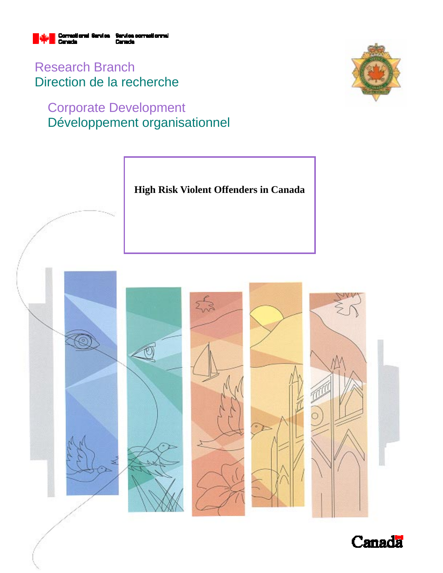

Research Branch Direction de la recherche

# Corporate Development Développement organisationnel





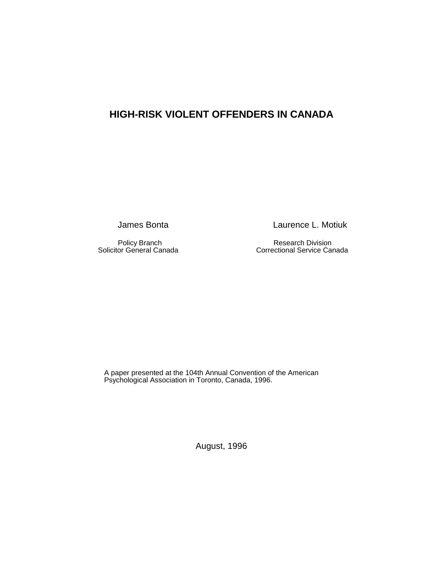## **HIGH-RISK VIOLENT OFFENDERS IN CANADA**

Policy Branch<br>
Solicitor General Canada<br>
Correctional Service Canada<br>
Correctional Service Canada

James Bonta **Laurence L. Motiuk** 

Correctional Service Canada

A paper presented at the 104th Annual Convention of the American Psychological Association in Toronto, Canada, 1996.

August, 1996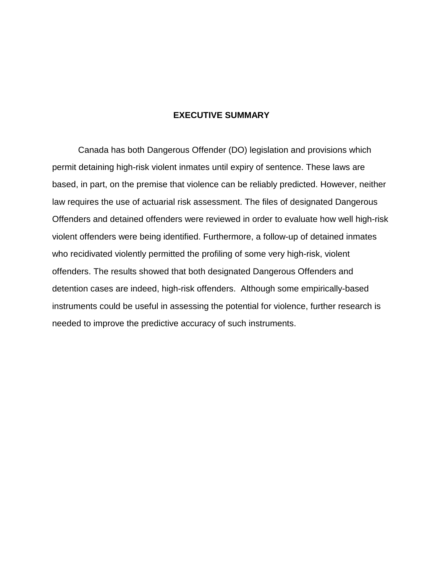### **EXECUTIVE SUMMARY**

Canada has both Dangerous Offender (DO) legislation and provisions which permit detaining high-risk violent inmates until expiry of sentence. These laws are based, in part, on the premise that violence can be reliably predicted. However, neither law requires the use of actuarial risk assessment. The files of designated Dangerous Offenders and detained offenders were reviewed in order to evaluate how well high-risk violent offenders were being identified. Furthermore, a follow-up of detained inmates who recidivated violently permitted the profiling of some very high-risk, violent offenders. The results showed that both designated Dangerous Offenders and detention cases are indeed, high-risk offenders. Although some empirically-based instruments could be useful in assessing the potential for violence, further research is needed to improve the predictive accuracy of such instruments.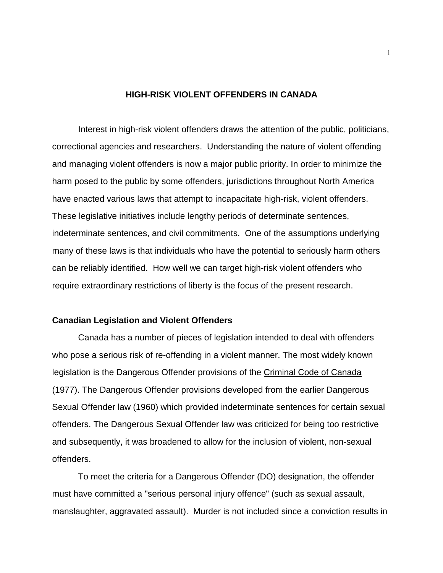#### **HIGH-RISK VIOLENT OFFENDERS IN CANADA**

Interest in high-risk violent offenders draws the attention of the public, politicians, correctional agencies and researchers. Understanding the nature of violent offending and managing violent offenders is now a major public priority. In order to minimize the harm posed to the public by some offenders, jurisdictions throughout North America have enacted various laws that attempt to incapacitate high-risk, violent offenders. These legislative initiatives include lengthy periods of determinate sentences, indeterminate sentences, and civil commitments. One of the assumptions underlying many of these laws is that individuals who have the potential to seriously harm others can be reliably identified. How well we can target high-risk violent offenders who require extraordinary restrictions of liberty is the focus of the present research.

#### **Canadian Legislation and Violent Offenders**

Canada has a number of pieces of legislation intended to deal with offenders who pose a serious risk of re-offending in a violent manner. The most widely known legislation is the Dangerous Offender provisions of the Criminal Code of Canada (1977). The Dangerous Offender provisions developed from the earlier Dangerous Sexual Offender law (1960) which provided indeterminate sentences for certain sexual offenders. The Dangerous Sexual Offender law was criticized for being too restrictive and subsequently, it was broadened to allow for the inclusion of violent, non-sexual offenders.

To meet the criteria for a Dangerous Offender (DO) designation, the offender must have committed a "serious personal injury offence" (such as sexual assault, manslaughter, aggravated assault). Murder is not included since a conviction results in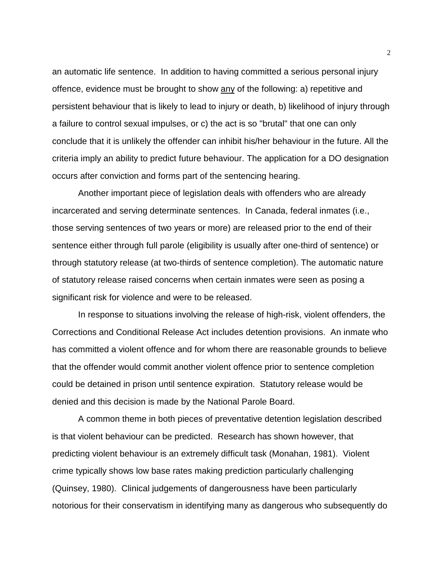an automatic life sentence. In addition to having committed a serious personal injury offence, evidence must be brought to show any of the following: a) repetitive and persistent behaviour that is likely to lead to injury or death, b) likelihood of injury through a failure to control sexual impulses, or c) the act is so "brutal" that one can only conclude that it is unlikely the offender can inhibit his/her behaviour in the future. All the criteria imply an ability to predict future behaviour. The application for a DO designation occurs after conviction and forms part of the sentencing hearing.

Another important piece of legislation deals with offenders who are already incarcerated and serving determinate sentences. In Canada, federal inmates (i.e., those serving sentences of two years or more) are released prior to the end of their sentence either through full parole (eligibility is usually after one-third of sentence) or through statutory release (at two-thirds of sentence completion). The automatic nature of statutory release raised concerns when certain inmates were seen as posing a significant risk for violence and were to be released.

In response to situations involving the release of high-risk, violent offenders, the Corrections and Conditional Release Act includes detention provisions. An inmate who has committed a violent offence and for whom there are reasonable grounds to believe that the offender would commit another violent offence prior to sentence completion could be detained in prison until sentence expiration. Statutory release would be denied and this decision is made by the National Parole Board.

A common theme in both pieces of preventative detention legislation described is that violent behaviour can be predicted. Research has shown however, that predicting violent behaviour is an extremely difficult task (Monahan, 1981). Violent crime typically shows low base rates making prediction particularly challenging (Quinsey, 1980). Clinical judgements of dangerousness have been particularly notorious for their conservatism in identifying many as dangerous who subsequently do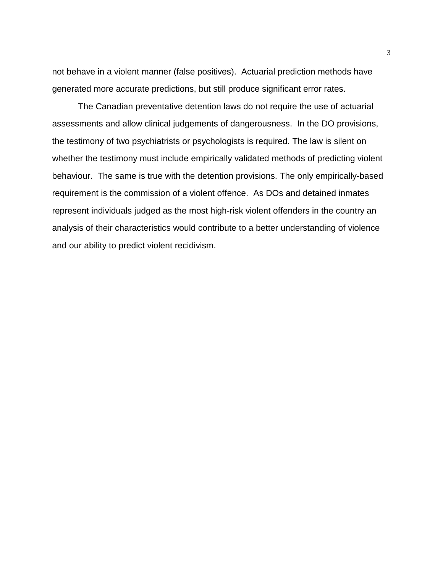not behave in a violent manner (false positives). Actuarial prediction methods have generated more accurate predictions, but still produce significant error rates.

The Canadian preventative detention laws do not require the use of actuarial assessments and allow clinical judgements of dangerousness. In the DO provisions, the testimony of two psychiatrists or psychologists is required. The law is silent on whether the testimony must include empirically validated methods of predicting violent behaviour. The same is true with the detention provisions. The only empirically-based requirement is the commission of a violent offence. As DOs and detained inmates represent individuals judged as the most high-risk violent offenders in the country an analysis of their characteristics would contribute to a better understanding of violence and our ability to predict violent recidivism.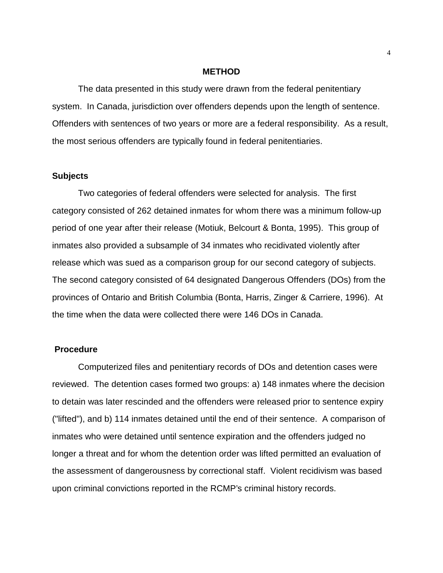#### **METHOD**

The data presented in this study were drawn from the federal penitentiary system. In Canada, jurisdiction over offenders depends upon the length of sentence. Offenders with sentences of two years or more are a federal responsibility. As a result, the most serious offenders are typically found in federal penitentiaries.

#### **Subjects**

Two categories of federal offenders were selected for analysis. The first category consisted of 262 detained inmates for whom there was a minimum follow-up period of one year after their release (Motiuk, Belcourt & Bonta, 1995). This group of inmates also provided a subsample of 34 inmates who recidivated violently after release which was sued as a comparison group for our second category of subjects. The second category consisted of 64 designated Dangerous Offenders (DOs) from the provinces of Ontario and British Columbia (Bonta, Harris, Zinger & Carriere, 1996). At the time when the data were collected there were 146 DOs in Canada.

#### **Procedure**

Computerized files and penitentiary records of DOs and detention cases were reviewed. The detention cases formed two groups: a) 148 inmates where the decision to detain was later rescinded and the offenders were released prior to sentence expiry ("lifted"), and b) 114 inmates detained until the end of their sentence. A comparison of inmates who were detained until sentence expiration and the offenders judged no longer a threat and for whom the detention order was lifted permitted an evaluation of the assessment of dangerousness by correctional staff. Violent recidivism was based upon criminal convictions reported in the RCMP's criminal history records.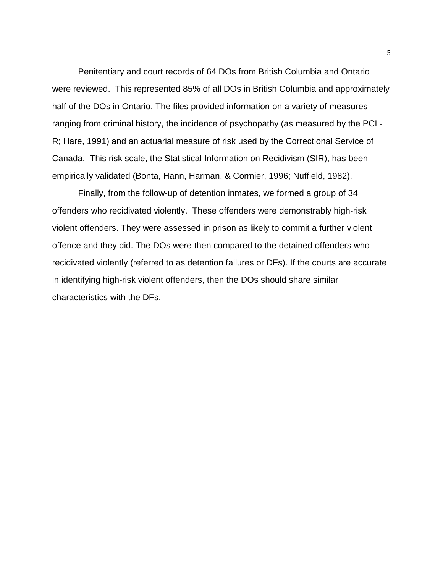Penitentiary and court records of 64 DOs from British Columbia and Ontario were reviewed. This represented 85% of all DOs in British Columbia and approximately half of the DOs in Ontario. The files provided information on a variety of measures ranging from criminal history, the incidence of psychopathy (as measured by the PCL-R; Hare, 1991) and an actuarial measure of risk used by the Correctional Service of Canada. This risk scale, the Statistical Information on Recidivism (SIR), has been empirically validated (Bonta, Hann, Harman, & Cormier, 1996; Nuffield, 1982).

Finally, from the follow-up of detention inmates, we formed a group of 34 offenders who recidivated violently. These offenders were demonstrably high-risk violent offenders. They were assessed in prison as likely to commit a further violent offence and they did. The DOs were then compared to the detained offenders who recidivated violently (referred to as detention failures or DFs). If the courts are accurate in identifying high-risk violent offenders, then the DOs should share similar characteristics with the DFs.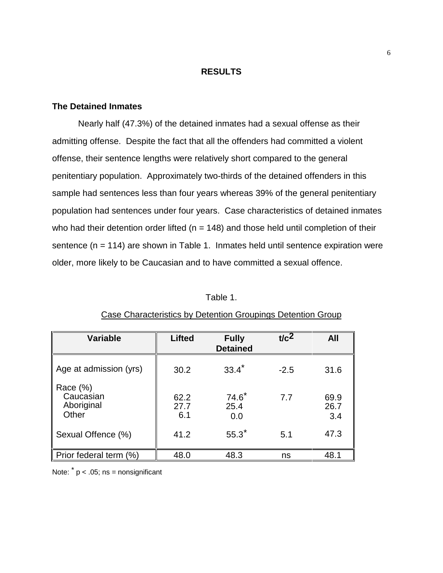#### **RESULTS**

#### **The Detained Inmates**

Nearly half (47.3%) of the detained inmates had a sexual offense as their admitting offense. Despite the fact that all the offenders had committed a violent offense, their sentence lengths were relatively short compared to the general penitentiary population. Approximately two-thirds of the detained offenders in this sample had sentences less than four years whereas 39% of the general penitentiary population had sentences under four years. Case characteristics of detained inmates who had their detention order lifted ( $n = 148$ ) and those held until completion of their sentence  $(n = 114)$  are shown in Table 1. Inmates held until sentence expiration were older, more likely to be Caucasian and to have committed a sexual offence.

#### Table 1.

| <b>Variable</b>                                 | <b>Lifted</b>       | <b>Fully</b><br><b>Detained</b> | t/c <sup>2</sup> | <b>All</b>          |
|-------------------------------------------------|---------------------|---------------------------------|------------------|---------------------|
| Age at admission (yrs)                          | 30.2                | $33.4*$                         | $-2.5$           | 31.6                |
| Race $(\%)$<br>Caucasian<br>Aboriginal<br>Other | 62.2<br>27.7<br>6.1 | $74.6^*$<br>25.4<br>0.0         | 7.7              | 69.9<br>26.7<br>3.4 |
| Sexual Offence (%)                              | 41.2                | $55.3^*$                        | 5.1              | 47.3                |
| Prior federal term (%)                          | 48.0                | 48.3                            | ns               | 48.1                |

#### Case Characteristics by Detention Groupings Detention Group

Note:  $*$  p < .05; ns = nonsignificant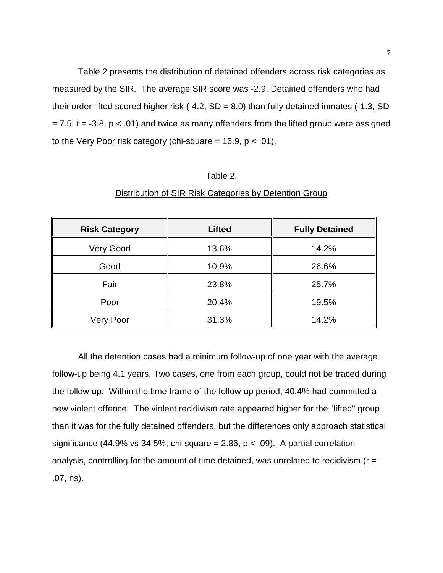Table 2 presents the distribution of detained offenders across risk categories as measured by the SIR. The average SIR score was -2.9. Detained offenders who had their order lifted scored higher risk  $(-4.2, SD = 8.0)$  than fully detained inmates  $(-1.3, SD$  $= 7.5$ ; t = -3.8, p < .01) and twice as many offenders from the lifted group were assigned to the Very Poor risk category (chi-square =  $16.9$ ,  $p < .01$ ).

#### Table 2.

| <b>Risk Category</b> | <b>Lifted</b> | <b>Fully Detained</b> |  |
|----------------------|---------------|-----------------------|--|
| Very Good            | 13.6%         | 14.2%                 |  |
| Good                 | 10.9%         | 26.6%                 |  |
| Fair                 | 23.8%         | 25.7%                 |  |
| Poor                 | 20.4%         | 19.5%                 |  |
| Very Poor            | 31.3%         | 14.2%                 |  |

#### Distribution of SIR Risk Categories by Detention Group

All the detention cases had a minimum follow-up of one year with the average follow-up being 4.1 years. Two cases, one from each group, could not be traced during the follow-up. Within the time frame of the follow-up period, 40.4% had committed a new violent offence. The violent recidivism rate appeared higher for the "lifted" group than it was for the fully detained offenders, but the differences only approach statistical significance (44.9% vs 34.5%; chi-square = 2.86,  $p < .09$ ). A partial correlation analysis, controlling for the amount of time detained, was unrelated to recidivism ( $r = -$ .07, ns).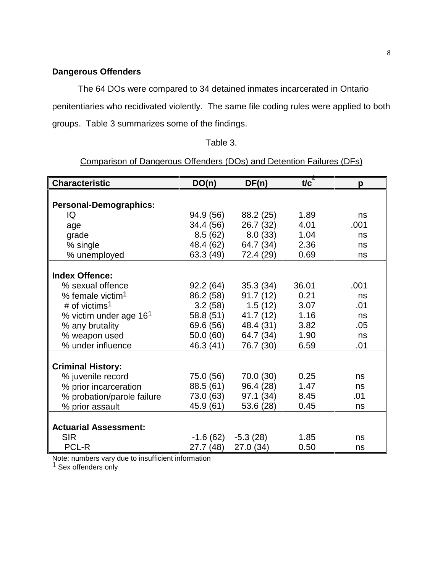### **Dangerous Offenders**

The 64 DOs were compared to 34 detained inmates incarcerated in Ontario penitentiaries who recidivated violently. The same file coding rules were applied to both groups. Table 3 summarizes some of the findings.

#### Table 3.

#### **Characteristic DO(n) DF(n)**  $\overline{\mathbf{t}/c}^2$ **p Personal-Demographics:** IQ age grade % single % unemployed 94.9 (56) 34.4 (56) 8.5 (62) 48.4 (62) 63.3 (49) 88.2 (25) 26.7 (32) 8.0 (33) 64.7 (34) 72.4 (29) 1.89 4.01 1.04 2.36 0.69 ns .001 ns ns ns **Index Offence:** % sexual offence % female victim1 # of victims<sup>1</sup> % victim under age 161 % any brutality % weapon used % under influence 92.2 (64) 86.2 (58) 3.2 (58) 58.8 (51) 69.6 (56) 50.0 (60) 46.3 (41) 35.3 (34) 91.7 (12) 1.5 (12) 41.7 (12) 48.4 (31) 64.7 (34) 76.7 (30) 36.01 0.21 3.07 1.16 3.82 1.90 6.59 .001 ns .01 ns .05 ns .01 **Criminal History:** % juvenile record % prior incarceration % probation/parole failure % prior assault 75.0 (56) 88.5 (61) 73.0 (63) 45.9 (61) 70.0 (30) 96.4 (28) 97.1 (34) 53.6 (28) 0.25 1.47 8.45 0.45 ns ns .01 ns **Actuarial Assessment:** SIR PCL-R -1.6 (62) 27.7 (48) -5.3 (28) 27.0 (34) 1.85 0.50 ns ns

#### Comparison of Dangerous Offenders (DOs) and Detention Failures (DFs)

Note: numbers vary due to insufficient information

1 Sex offenders only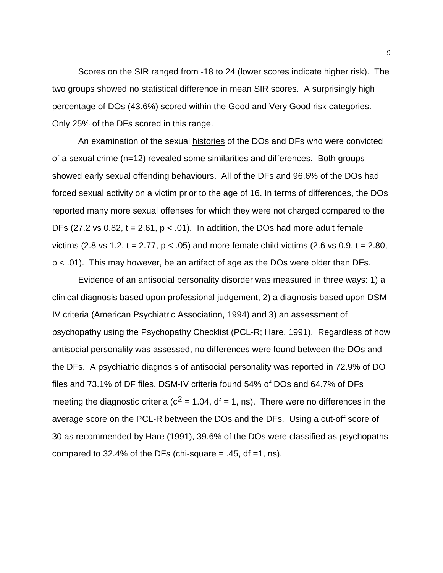Scores on the SIR ranged from -18 to 24 (lower scores indicate higher risk). The two groups showed no statistical difference in mean SIR scores. A surprisingly high percentage of DOs (43.6%) scored within the Good and Very Good risk categories. Only 25% of the DFs scored in this range.

An examination of the sexual histories of the DOs and DFs who were convicted of a sexual crime (n=12) revealed some similarities and differences. Both groups showed early sexual offending behaviours. All of the DFs and 96.6% of the DOs had forced sexual activity on a victim prior to the age of 16. In terms of differences, the DOs reported many more sexual offenses for which they were not charged compared to the DFs (27.2 vs 0.82,  $t = 2.61$ ,  $p < .01$ ). In addition, the DOs had more adult female victims (2.8 vs 1.2, t = 2.77,  $p < .05$ ) and more female child victims (2.6 vs 0.9, t = 2.80, p < .01). This may however, be an artifact of age as the DOs were older than DFs.

Evidence of an antisocial personality disorder was measured in three ways: 1) a clinical diagnosis based upon professional judgement, 2) a diagnosis based upon DSM-IV criteria (American Psychiatric Association, 1994) and 3) an assessment of psychopathy using the Psychopathy Checklist (PCL-R; Hare, 1991). Regardless of how antisocial personality was assessed, no differences were found between the DOs and the DFs. A psychiatric diagnosis of antisocial personality was reported in 72.9% of DO files and 73.1% of DF files. DSM-IV criteria found 54% of DOs and 64.7% of DFs meeting the diagnostic criteria ( $c^2$  = 1.04, df = 1, ns). There were no differences in the average score on the PCL-R between the DOs and the DFs. Using a cut-off score of 30 as recommended by Hare (1991), 39.6% of the DOs were classified as psychopaths compared to 32.4% of the DFs (chi-square  $= .45$ , df  $=1$ , ns).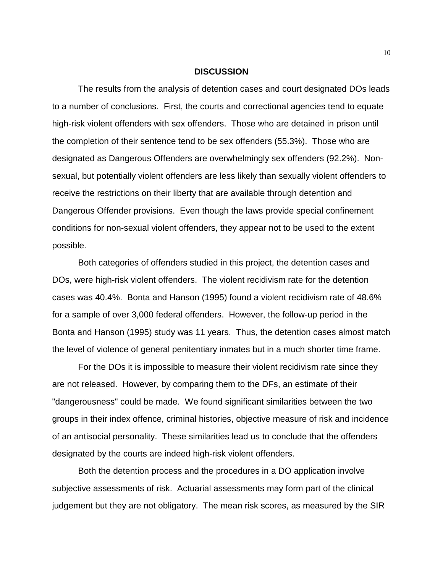#### **DISCUSSION**

The results from the analysis of detention cases and court designated DOs leads to a number of conclusions. First, the courts and correctional agencies tend to equate high-risk violent offenders with sex offenders. Those who are detained in prison until the completion of their sentence tend to be sex offenders (55.3%). Those who are designated as Dangerous Offenders are overwhelmingly sex offenders (92.2%). Nonsexual, but potentially violent offenders are less likely than sexually violent offenders to receive the restrictions on their liberty that are available through detention and Dangerous Offender provisions. Even though the laws provide special confinement conditions for non-sexual violent offenders, they appear not to be used to the extent possible.

Both categories of offenders studied in this project, the detention cases and DOs, were high-risk violent offenders. The violent recidivism rate for the detention cases was 40.4%. Bonta and Hanson (1995) found a violent recidivism rate of 48.6% for a sample of over 3,000 federal offenders. However, the follow-up period in the Bonta and Hanson (1995) study was 11 years. Thus, the detention cases almost match the level of violence of general penitentiary inmates but in a much shorter time frame.

For the DOs it is impossible to measure their violent recidivism rate since they are not released. However, by comparing them to the DFs, an estimate of their "dangerousness" could be made. We found significant similarities between the two groups in their index offence, criminal histories, objective measure of risk and incidence of an antisocial personality. These similarities lead us to conclude that the offenders designated by the courts are indeed high-risk violent offenders.

Both the detention process and the procedures in a DO application involve subjective assessments of risk. Actuarial assessments may form part of the clinical judgement but they are not obligatory. The mean risk scores, as measured by the SIR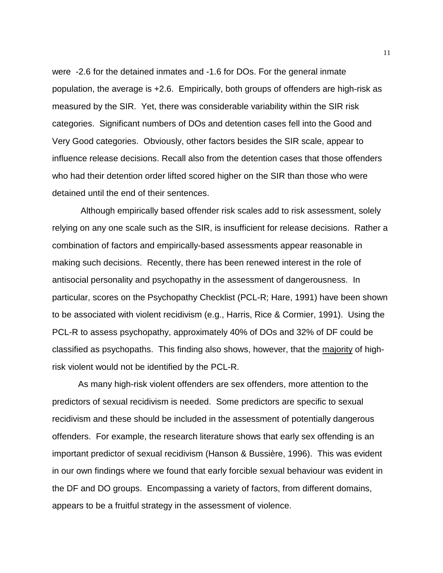were -2.6 for the detained inmates and -1.6 for DOs. For the general inmate population, the average is +2.6. Empirically, both groups of offenders are high-risk as measured by the SIR. Yet, there was considerable variability within the SIR risk categories. Significant numbers of DOs and detention cases fell into the Good and Very Good categories. Obviously, other factors besides the SIR scale, appear to influence release decisions. Recall also from the detention cases that those offenders who had their detention order lifted scored higher on the SIR than those who were detained until the end of their sentences.

 Although empirically based offender risk scales add to risk assessment, solely relying on any one scale such as the SIR, is insufficient for release decisions. Rather a combination of factors and empirically-based assessments appear reasonable in making such decisions. Recently, there has been renewed interest in the role of antisocial personality and psychopathy in the assessment of dangerousness. In particular, scores on the Psychopathy Checklist (PCL-R; Hare, 1991) have been shown to be associated with violent recidivism (e.g., Harris, Rice & Cormier, 1991). Using the PCL-R to assess psychopathy, approximately 40% of DOs and 32% of DF could be classified as psychopaths. This finding also shows, however, that the majority of highrisk violent would not be identified by the PCL-R.

As many high-risk violent offenders are sex offenders, more attention to the predictors of sexual recidivism is needed. Some predictors are specific to sexual recidivism and these should be included in the assessment of potentially dangerous offenders. For example, the research literature shows that early sex offending is an important predictor of sexual recidivism (Hanson & Bussière, 1996). This was evident in our own findings where we found that early forcible sexual behaviour was evident in the DF and DO groups. Encompassing a variety of factors, from different domains, appears to be a fruitful strategy in the assessment of violence.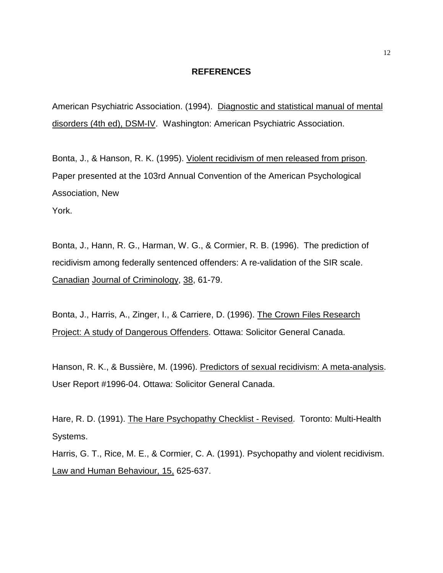#### **REFERENCES**

American Psychiatric Association. (1994). Diagnostic and statistical manual of mental disorders (4th ed), DSM-IV. Washington: American Psychiatric Association.

Bonta, J., & Hanson, R. K. (1995). Violent recidivism of men released from prison. Paper presented at the 103rd Annual Convention of the American Psychological Association, New

York.

Bonta, J., Hann, R. G., Harman, W. G., & Cormier, R. B. (1996). The prediction of recidivism among federally sentenced offenders: A re-validation of the SIR scale. Canadian Journal of Criminology, 38, 61-79.

Bonta, J., Harris, A., Zinger, I., & Carriere, D. (1996). The Crown Files Research Project: A study of Dangerous Offenders. Ottawa: Solicitor General Canada.

Hanson, R. K., & Bussière, M. (1996). Predictors of sexual recidivism: A meta-analysis. User Report #1996-04. Ottawa: Solicitor General Canada.

Hare, R. D. (1991). The Hare Psychopathy Checklist - Revised. Toronto: Multi-Health Systems.

Harris, G. T., Rice, M. E., & Cormier, C. A. (1991). Psychopathy and violent recidivism. Law and Human Behaviour, 15, 625-637.